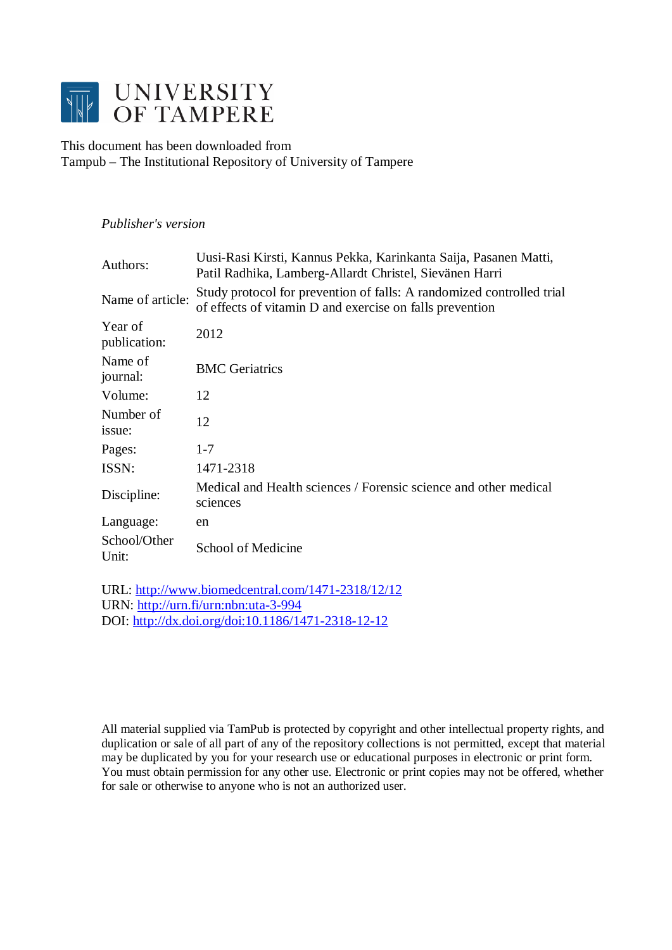

This document has been downloaded from Tampub – The Institutional Repository of University of Tampere

## *Publisher's version*

| Authors:                | Uusi-Rasi Kirsti, Kannus Pekka, Karinkanta Saija, Pasanen Matti,<br>Patil Radhika, Lamberg-Allardt Christel, Sievänen Harri       |
|-------------------------|-----------------------------------------------------------------------------------------------------------------------------------|
| Name of article:        | Study protocol for prevention of falls: A randomized controlled trial<br>of effects of vitamin D and exercise on falls prevention |
| Year of<br>publication: | 2012                                                                                                                              |
| Name of<br>journal:     | <b>BMC</b> Geriatrics                                                                                                             |
| Volume:                 | 12                                                                                                                                |
| Number of<br>issue:     | 12                                                                                                                                |
| Pages:                  | $1 - 7$                                                                                                                           |
| ISSN:                   | 1471-2318                                                                                                                         |
| Discipline:             | Medical and Health sciences / Forensic science and other medical<br>sciences                                                      |
| Language:               | en                                                                                                                                |
| School/Other<br>Unit:   | School of Medicine                                                                                                                |

URL:<http://www.biomedcentral.com/1471-2318/12/12> URN: <http://urn.fi/urn:nbn:uta-3-994> DOI: <http://dx.doi.org/doi:10.1186/1471-2318-12-12>

All material supplied via TamPub is protected by copyright and other intellectual property rights, and duplication or sale of all part of any of the repository collections is not permitted, except that material may be duplicated by you for your research use or educational purposes in electronic or print form. You must obtain permission for any other use. Electronic or print copies may not be offered, whether for sale or otherwise to anyone who is not an authorized user.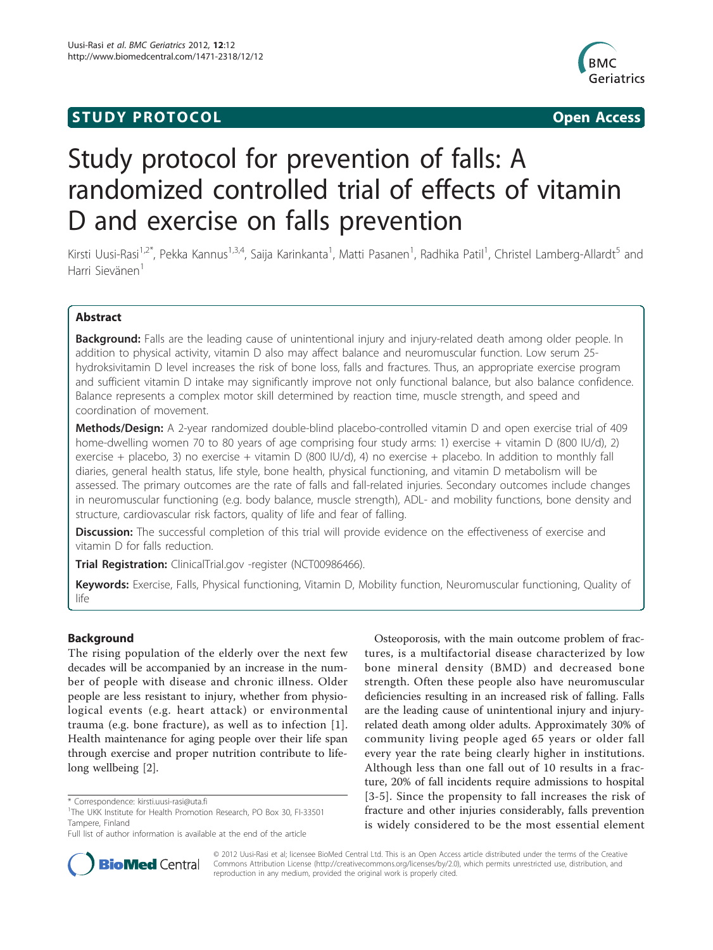## **STUDY PROTOCOL CONSUMING ACCESS**



# Study protocol for prevention of falls: A randomized controlled trial of effects of vitamin D and exercise on falls prevention

Kirsti Uusi-Rasi<sup>1,2\*</sup>, Pekka Kannus<sup>1,3,4</sup>, Saija Karinkanta<sup>1</sup>, Matti Pasanen<sup>1</sup>, Radhika Patil<sup>1</sup>, Christel Lamberg-Allardt<sup>5</sup> and Harri Sievänen<sup>1</sup>

## Abstract

**Background:** Falls are the leading cause of unintentional injury and injury-related death among older people. In addition to physical activity, vitamin D also may affect balance and neuromuscular function. Low serum 25 hydroksivitamin D level increases the risk of bone loss, falls and fractures. Thus, an appropriate exercise program and sufficient vitamin D intake may significantly improve not only functional balance, but also balance confidence. Balance represents a complex motor skill determined by reaction time, muscle strength, and speed and coordination of movement.

Methods/Design: A 2-year randomized double-blind placebo-controlled vitamin D and open exercise trial of 409 home-dwelling women 70 to 80 years of age comprising four study arms: 1) exercise + vitamin D (800 IU/d), 2) exercise + placebo, 3) no exercise + vitamin D (800 IU/d), 4) no exercise + placebo. In addition to monthly fall diaries, general health status, life style, bone health, physical functioning, and vitamin D metabolism will be assessed. The primary outcomes are the rate of falls and fall-related injuries. Secondary outcomes include changes in neuromuscular functioning (e.g. body balance, muscle strength), ADL- and mobility functions, bone density and structure, cardiovascular risk factors, quality of life and fear of falling.

Discussion: The successful completion of this trial will provide evidence on the effectiveness of exercise and vitamin D for falls reduction.

Trial Registration: ClinicalTrial.gov -register ([NCT00986466\)](http://www.clinicaltrials.gov/ct2/show/NCT00986466).

Keywords: Exercise, Falls, Physical functioning, Vitamin D, Mobility function, Neuromuscular functioning, Quality of life

## Background

The rising population of the elderly over the next few decades will be accompanied by an increase in the number of people with disease and chronic illness. Older people are less resistant to injury, whether from physiological events (e.g. heart attack) or environmental trauma (e.g. bone fracture), as well as to infection [[1](#page-6-0)]. Health maintenance for aging people over their life span through exercise and proper nutrition contribute to lifelong wellbeing [\[2](#page-6-0)].

Full list of author information is available at the end of the article





© 2012 Uusi-Rasi et al; licensee BioMed Central Ltd. This is an Open Access article distributed under the terms of the Creative Commons Attribution License [\(http://creativecommons.org/licenses/by/2.0](http://creativecommons.org/licenses/by/2.0)), which permits unrestricted use, distribution, and reproduction in any medium, provided the original work is properly cited.

<sup>\*</sup> Correspondence: [kirsti.uusi-rasi@uta.fi](mailto:kirsti.uusi-rasi@uta.fi)

<sup>&</sup>lt;sup>1</sup>The UKK Institute for Health Promotion Research, PO Box 30, FI-33501 Tampere, Finland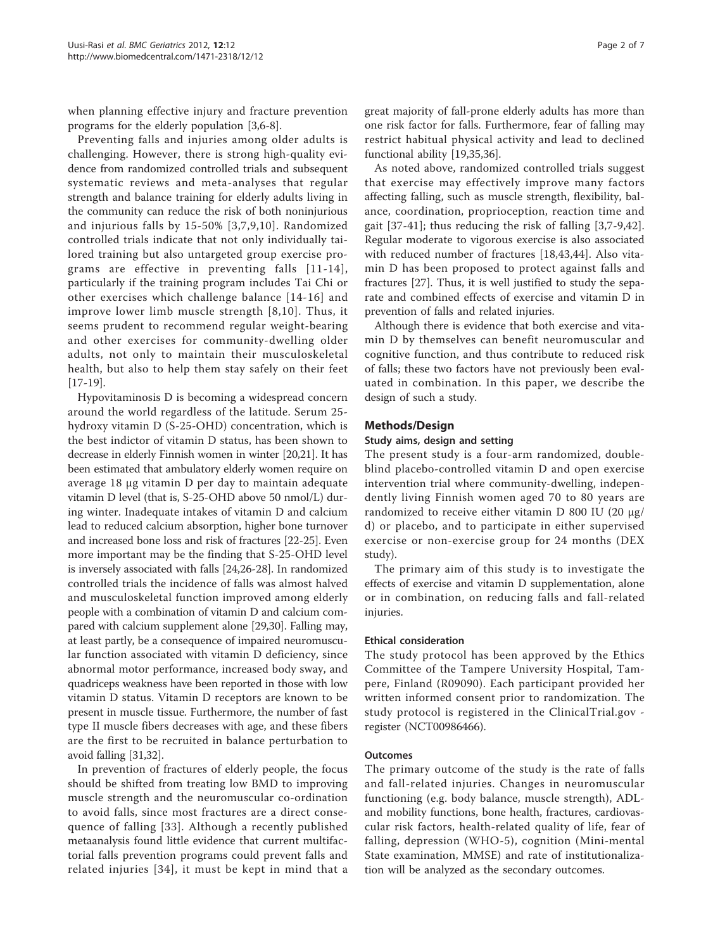when planning effective injury and fracture prevention programs for the elderly population [[3,6-8](#page-6-0)].

Preventing falls and injuries among older adults is challenging. However, there is strong high-quality evidence from randomized controlled trials and subsequent systematic reviews and meta-analyses that regular strength and balance training for elderly adults living in the community can reduce the risk of both noninjurious and injurious falls by 15-50% [[3,7,9](#page-6-0),[10](#page-6-0)]. Randomized controlled trials indicate that not only individually tailored training but also untargeted group exercise programs are effective in preventing falls [[11-14\]](#page-6-0), particularly if the training program includes Tai Chi or other exercises which challenge balance [[14](#page-6-0)-[16\]](#page-6-0) and improve lower limb muscle strength [[8,10\]](#page-6-0). Thus, it seems prudent to recommend regular weight-bearing and other exercises for community-dwelling older adults, not only to maintain their musculoskeletal health, but also to help them stay safely on their feet [[17-19\]](#page-6-0).

Hypovitaminosis D is becoming a widespread concern around the world regardless of the latitude. Serum 25 hydroxy vitamin D (S-25-OHD) concentration, which is the best indictor of vitamin D status, has been shown to decrease in elderly Finnish women in winter [\[20,](#page-6-0)[21](#page-7-0)]. It has been estimated that ambulatory elderly women require on average 18 μg vitamin D per day to maintain adequate vitamin D level (that is, S-25-OHD above 50 nmol/L) during winter. Inadequate intakes of vitamin D and calcium lead to reduced calcium absorption, higher bone turnover and increased bone loss and risk of fractures [\[22](#page-7-0)-[25](#page-7-0)]. Even more important may be the finding that S-25-OHD level is inversely associated with falls [[24,26](#page-7-0)-[28](#page-7-0)]. In randomized controlled trials the incidence of falls was almost halved and musculoskeletal function improved among elderly people with a combination of vitamin D and calcium compared with calcium supplement alone [\[29,30](#page-7-0)]. Falling may, at least partly, be a consequence of impaired neuromuscular function associated with vitamin D deficiency, since abnormal motor performance, increased body sway, and quadriceps weakness have been reported in those with low vitamin D status. Vitamin D receptors are known to be present in muscle tissue. Furthermore, the number of fast type II muscle fibers decreases with age, and these fibers are the first to be recruited in balance perturbation to avoid falling [[31,32\]](#page-7-0).

In prevention of fractures of elderly people, the focus should be shifted from treating low BMD to improving muscle strength and the neuromuscular co-ordination to avoid falls, since most fractures are a direct consequence of falling [[33](#page-7-0)]. Although a recently published metaanalysis found little evidence that current multifactorial falls prevention programs could prevent falls and related injuries [[34\]](#page-7-0), it must be kept in mind that a

great majority of fall-prone elderly adults has more than one risk factor for falls. Furthermore, fear of falling may restrict habitual physical activity and lead to declined functional ability [[19,](#page-6-0)[35,36\]](#page-7-0).

As noted above, randomized controlled trials suggest that exercise may effectively improve many factors affecting falling, such as muscle strength, flexibility, balance, coordination, proprioception, reaction time and gait [[37-41](#page-7-0)]; thus reducing the risk of falling [[3,7](#page-6-0)-[9,](#page-6-0)[42](#page-7-0)]. Regular moderate to vigorous exercise is also associated with reduced number of fractures [\[18](#page-6-0)[,43,44\]](#page-7-0). Also vitamin D has been proposed to protect against falls and fractures [[27](#page-7-0)]. Thus, it is well justified to study the separate and combined effects of exercise and vitamin D in prevention of falls and related injuries.

Although there is evidence that both exercise and vitamin D by themselves can benefit neuromuscular and cognitive function, and thus contribute to reduced risk of falls; these two factors have not previously been evaluated in combination. In this paper, we describe the design of such a study.

## Methods/Design

## Study aims, design and setting

The present study is a four-arm randomized, doubleblind placebo-controlled vitamin D and open exercise intervention trial where community-dwelling, independently living Finnish women aged 70 to 80 years are randomized to receive either vitamin D 800 IU (20 μg/ d) or placebo, and to participate in either supervised exercise or non-exercise group for 24 months (DEX study).

The primary aim of this study is to investigate the effects of exercise and vitamin D supplementation, alone or in combination, on reducing falls and fall-related injuries.

## Ethical consideration

The study protocol has been approved by the Ethics Committee of the Tampere University Hospital, Tampere, Finland (R09090). Each participant provided her written informed consent prior to randomization. The study protocol is registered in the ClinicalTrial.gov register (NCT00986466).

## Outcomes

The primary outcome of the study is the rate of falls and fall-related injuries. Changes in neuromuscular functioning (e.g. body balance, muscle strength), ADLand mobility functions, bone health, fractures, cardiovascular risk factors, health-related quality of life, fear of falling, depression (WHO-5), cognition (Mini-mental State examination, MMSE) and rate of institutionalization will be analyzed as the secondary outcomes.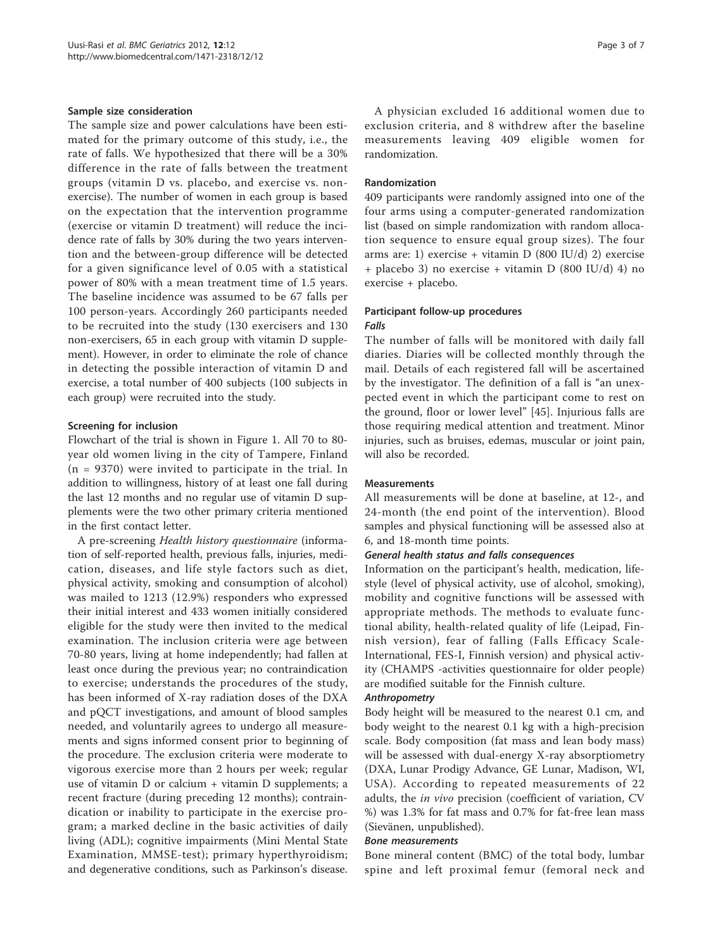## Sample size consideration

The sample size and power calculations have been estimated for the primary outcome of this study, i.e., the rate of falls. We hypothesized that there will be a 30% difference in the rate of falls between the treatment groups (vitamin D vs. placebo, and exercise vs. nonexercise). The number of women in each group is based on the expectation that the intervention programme (exercise or vitamin D treatment) will reduce the incidence rate of falls by 30% during the two years intervention and the between-group difference will be detected for a given significance level of 0.05 with a statistical power of 80% with a mean treatment time of 1.5 years. The baseline incidence was assumed to be 67 falls per 100 person-years. Accordingly 260 participants needed to be recruited into the study (130 exercisers and 130 non-exercisers, 65 in each group with vitamin D supplement). However, in order to eliminate the role of chance in detecting the possible interaction of vitamin D and exercise, a total number of 400 subjects (100 subjects in each group) were recruited into the study.

## Screening for inclusion

Flowchart of the trial is shown in Figure [1.](#page-4-0) All 70 to 80 year old women living in the city of Tampere, Finland  $(n = 9370)$  were invited to participate in the trial. In addition to willingness, history of at least one fall during the last 12 months and no regular use of vitamin D supplements were the two other primary criteria mentioned in the first contact letter.

A pre-screening Health history questionnaire (information of self-reported health, previous falls, injuries, medication, diseases, and life style factors such as diet, physical activity, smoking and consumption of alcohol) was mailed to 1213 (12.9%) responders who expressed their initial interest and 433 women initially considered eligible for the study were then invited to the medical examination. The inclusion criteria were age between 70-80 years, living at home independently; had fallen at least once during the previous year; no contraindication to exercise; understands the procedures of the study, has been informed of X-ray radiation doses of the DXA and pQCT investigations, and amount of blood samples needed, and voluntarily agrees to undergo all measurements and signs informed consent prior to beginning of the procedure. The exclusion criteria were moderate to vigorous exercise more than 2 hours per week; regular use of vitamin D or calcium + vitamin D supplements; a recent fracture (during preceding 12 months); contraindication or inability to participate in the exercise program; a marked decline in the basic activities of daily living (ADL); cognitive impairments (Mini Mental State Examination, MMSE-test); primary hyperthyroidism; and degenerative conditions, such as Parkinson's disease.

A physician excluded 16 additional women due to exclusion criteria, and 8 withdrew after the baseline measurements leaving 409 eligible women for randomization.

### Randomization

409 participants were randomly assigned into one of the four arms using a computer-generated randomization list (based on simple randomization with random allocation sequence to ensure equal group sizes). The four arms are: 1) exercise + vitamin D (800 IU/d) 2) exercise + placebo 3) no exercise + vitamin D (800 IU/d) 4) no exercise + placebo.

#### Participant follow-up procedures Falls

## The number of falls will be monitored with daily fall diaries. Diaries will be collected monthly through the mail. Details of each registered fall will be ascertained by the investigator. The definition of a fall is "an unexpected event in which the participant come to rest on the ground, floor or lower level" [[45\]](#page-7-0). Injurious falls are those requiring medical attention and treatment. Minor injuries, such as bruises, edemas, muscular or joint pain,

#### Measurements

will also be recorded.

All measurements will be done at baseline, at 12-, and 24-month (the end point of the intervention). Blood samples and physical functioning will be assessed also at 6, and 18-month time points.

## General health status and falls consequences

Information on the participant's health, medication, lifestyle (level of physical activity, use of alcohol, smoking), mobility and cognitive functions will be assessed with appropriate methods. The methods to evaluate functional ability, health-related quality of life (Leipad, Finnish version), fear of falling (Falls Efficacy Scale-International, FES-I, Finnish version) and physical activity (CHAMPS -activities questionnaire for older people) are modified suitable for the Finnish culture.

#### Anthropometry

Body height will be measured to the nearest 0.1 cm, and body weight to the nearest 0.1 kg with a high-precision scale. Body composition (fat mass and lean body mass) will be assessed with dual-energy X-ray absorptiometry (DXA, Lunar Prodigy Advance, GE Lunar, Madison, WI, USA). According to repeated measurements of 22 adults, the in vivo precision (coefficient of variation, CV %) was 1.3% for fat mass and 0.7% for fat-free lean mass (Sievänen, unpublished).

#### Bone measurements

Bone mineral content (BMC) of the total body, lumbar spine and left proximal femur (femoral neck and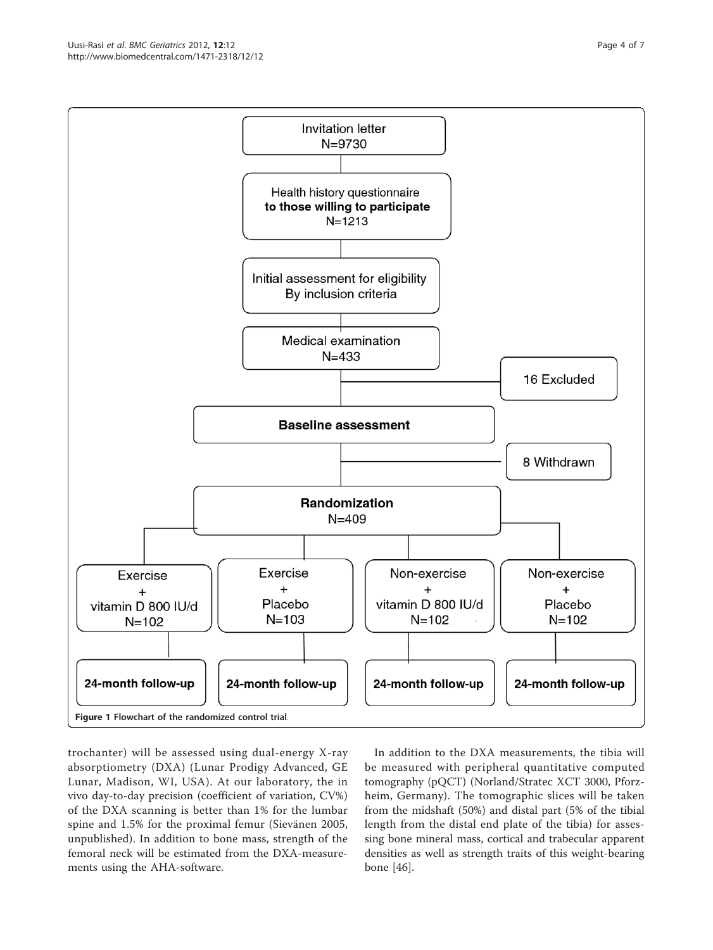trochanter) will be assessed using dual-energy X-ray absorptiometry (DXA) (Lunar Prodigy Advanced, GE Lunar, Madison, WI, USA). At our laboratory, the in vivo day-to-day precision (coefficient of variation, CV%) of the DXA scanning is better than 1% for the lumbar spine and 1.5% for the proximal femur (Sievänen 2005, unpublished). In addition to bone mass, strength of the femoral neck will be estimated from the DXA-measurements using the AHA-software.

In addition to the DXA measurements, the tibia will be measured with peripheral quantitative computed tomography (pQCT) (Norland/Stratec XCT 3000, Pforzheim, Germany). The tomographic slices will be taken from the midshaft (50%) and distal part (5% of the tibial length from the distal end plate of the tibia) for assessing bone mineral mass, cortical and trabecular apparent densities as well as strength traits of this weight-bearing bone [\[46\]](#page-7-0).

<span id="page-4-0"></span>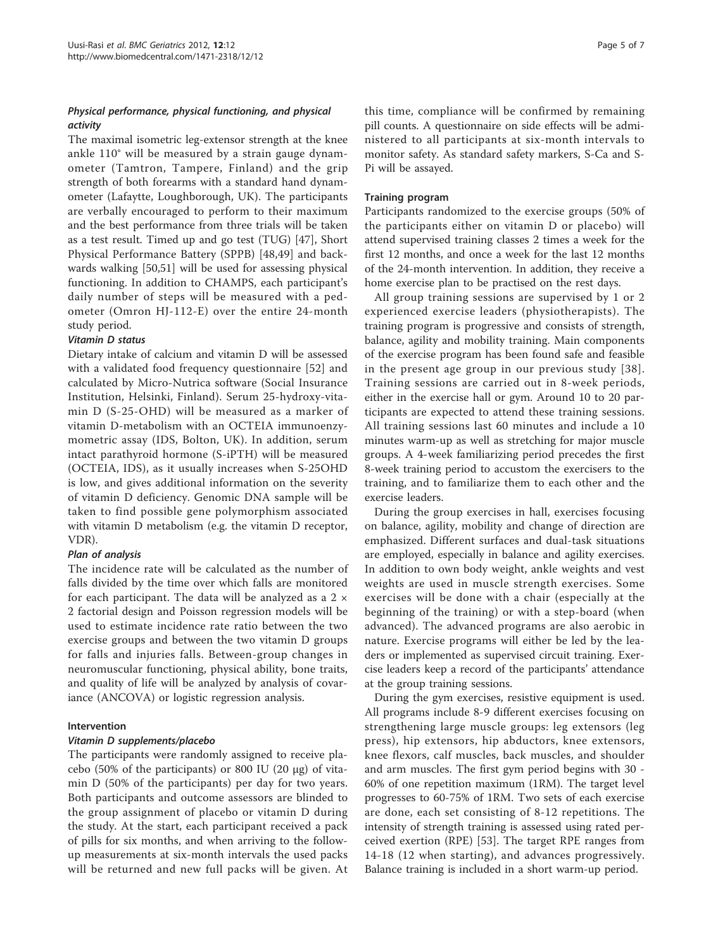## Physical performance, physical functioning, and physical activity

The maximal isometric leg-extensor strength at the knee ankle 110° will be measured by a strain gauge dynamometer (Tamtron, Tampere, Finland) and the grip strength of both forearms with a standard hand dynamometer (Lafaytte, Loughborough, UK). The participants are verbally encouraged to perform to their maximum and the best performance from three trials will be taken as a test result. Timed up and go test (TUG) [[47\]](#page-7-0), Short Physical Performance Battery (SPPB) [[48,49](#page-7-0)] and backwards walking [[50,51\]](#page-7-0) will be used for assessing physical functioning. In addition to CHAMPS, each participant's daily number of steps will be measured with a pedometer (Omron HJ-112-E) over the entire 24-month study period.

## Vitamin D status

Dietary intake of calcium and vitamin D will be assessed with a validated food frequency questionnaire [\[52\]](#page-7-0) and calculated by Micro-Nutrica software (Social Insurance Institution, Helsinki, Finland). Serum 25-hydroxy-vitamin D (S-25-OHD) will be measured as a marker of vitamin D-metabolism with an OCTEIA immunoenzymometric assay (IDS, Bolton, UK). In addition, serum intact parathyroid hormone (S-iPTH) will be measured (OCTEIA, IDS), as it usually increases when S-25OHD is low, and gives additional information on the severity of vitamin D deficiency. Genomic DNA sample will be taken to find possible gene polymorphism associated with vitamin D metabolism (e.g. the vitamin D receptor, VDR).

## Plan of analysis

The incidence rate will be calculated as the number of falls divided by the time over which falls are monitored for each participant. The data will be analyzed as a  $2 \times$ 2 factorial design and Poisson regression models will be used to estimate incidence rate ratio between the two exercise groups and between the two vitamin D groups for falls and injuries falls. Between-group changes in neuromuscular functioning, physical ability, bone traits, and quality of life will be analyzed by analysis of covariance (ANCOVA) or logistic regression analysis.

## Intervention

## Vitamin D supplements/placebo

The participants were randomly assigned to receive placebo (50% of the participants) or 800 IU (20 μg) of vitamin D (50% of the participants) per day for two years. Both participants and outcome assessors are blinded to the group assignment of placebo or vitamin D during the study. At the start, each participant received a pack of pills for six months, and when arriving to the followup measurements at six-month intervals the used packs will be returned and new full packs will be given. At

this time, compliance will be confirmed by remaining pill counts. A questionnaire on side effects will be administered to all participants at six-month intervals to monitor safety. As standard safety markers, S-Ca and S-Pi will be assayed.

## Training program

Participants randomized to the exercise groups (50% of the participants either on vitamin D or placebo) will attend supervised training classes 2 times a week for the first 12 months, and once a week for the last 12 months of the 24-month intervention. In addition, they receive a home exercise plan to be practised on the rest days.

All group training sessions are supervised by 1 or 2 experienced exercise leaders (physiotherapists). The training program is progressive and consists of strength, balance, agility and mobility training. Main components of the exercise program has been found safe and feasible in the present age group in our previous study [[38\]](#page-7-0). Training sessions are carried out in 8-week periods, either in the exercise hall or gym. Around 10 to 20 participants are expected to attend these training sessions. All training sessions last 60 minutes and include a 10 minutes warm-up as well as stretching for major muscle groups. A 4-week familiarizing period precedes the first 8-week training period to accustom the exercisers to the training, and to familiarize them to each other and the exercise leaders.

During the group exercises in hall, exercises focusing on balance, agility, mobility and change of direction are emphasized. Different surfaces and dual-task situations are employed, especially in balance and agility exercises. In addition to own body weight, ankle weights and vest weights are used in muscle strength exercises. Some exercises will be done with a chair (especially at the beginning of the training) or with a step-board (when advanced). The advanced programs are also aerobic in nature. Exercise programs will either be led by the leaders or implemented as supervised circuit training. Exercise leaders keep a record of the participants' attendance at the group training sessions.

During the gym exercises, resistive equipment is used. All programs include 8-9 different exercises focusing on strengthening large muscle groups: leg extensors (leg press), hip extensors, hip abductors, knee extensors, knee flexors, calf muscles, back muscles, and shoulder and arm muscles. The first gym period begins with 30 - 60% of one repetition maximum (1RM). The target level progresses to 60-75% of 1RM. Two sets of each exercise are done, each set consisting of 8-12 repetitions. The intensity of strength training is assessed using rated perceived exertion (RPE) [[53\]](#page-7-0). The target RPE ranges from 14-18 (12 when starting), and advances progressively. Balance training is included in a short warm-up period.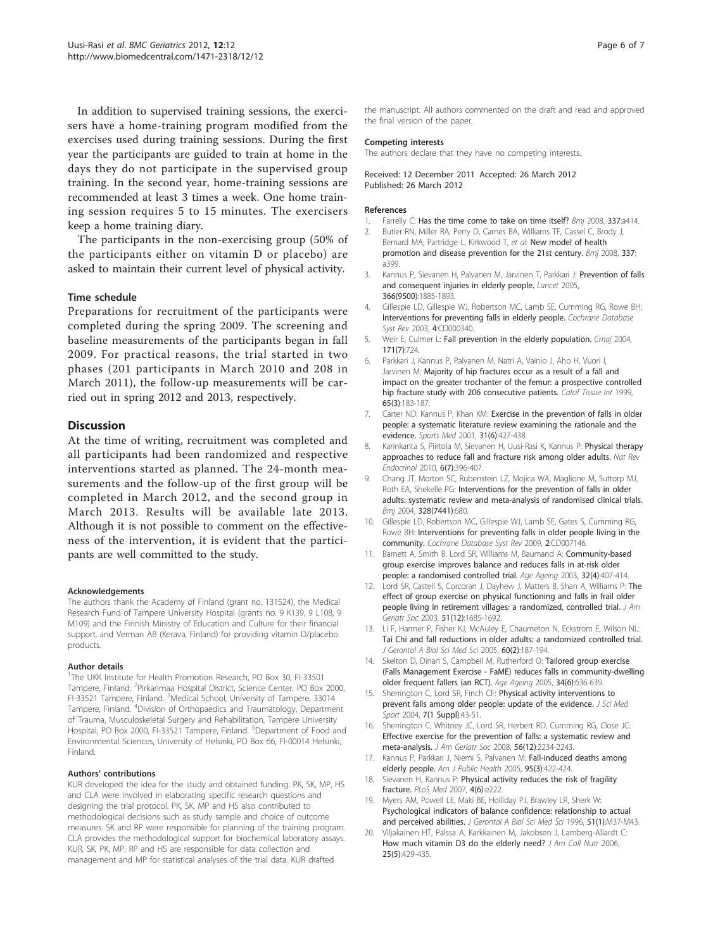<span id="page-6-0"></span>In addition to supervised training sessions, the exercisers have a home-training program modified from the exercises used during training sessions. During the first year the participants are guided to train at home in the days they do not participate in the supervised group training. In the second year, home-training sessions are recommended at least 3 times a week. One home training session requires 5 to 15 minutes. The exercisers keep a home training diary.

The participants in the non-exercising group (50% of the participants either on vitamin D or placebo) are asked to maintain their current level of physical activity.

## Time schedule

Preparations for recruitment of the participants were completed during the spring 2009. The screening and baseline measurements of the participants began in fall 2009. For practical reasons, the trial started in two phases (201 participants in March 2010 and 208 in March 2011), the follow-up measurements will be carried out in spring 2012 and 2013, respectively.

## **Discussion**

At the time of writing, recruitment was completed and all participants had been randomized and respective interventions started as planned. The 24-month measurements and the follow-up of the first group will be completed in March 2012, and the second group in March 2013. Results will be available late 2013. Although it is not possible to comment on the effectiveness of the intervention, it is evident that the participants are well committed to the study.

#### Acknowledgements

The authors thank the Academy of Finland (grant no. 131524), the Medical Research Fund of Tampere University Hospital (grants no. 9 K139, 9 L108, 9 M109) and the Finnish Ministry of Education and Culture for their financial support, and Verman AB (Kerava, Finland) for providing vitamin D/placebo products.

#### Author details

<sup>1</sup>The UKK Institute for Health Promotion Research, PO Box 30, FI-33501 Tampere, Finland. <sup>2</sup>Pirkanmaa Hospital District, Science Center, PO Box 2000, FI-33521 Tampere, Finland. <sup>3</sup>Medical School, University of Tampere, 33014 Tampere, Finland. <sup>4</sup>Division of Orthopaedics and Traumatology, Department of Trauma, Musculoskeletal Surgery and Rehabilitation, Tampere University Hospital, PO Box 2000, FI-33521 Tampere, Finland. <sup>5</sup>Department of Food and Environmental Sciences, University of Helsinki, PO Box 66, FI-00014 Helsinki, Finland.

#### Authors' contributions

KUR developed the idea for the study and obtained funding. PK, SK, MP, HS and CLA were involved in elaborating specific research questions and designing the trial protocol. PK, SK, MP and HS also contributed to methodological decisions such as study sample and choice of outcome measures. SK and RP were responsible for planning of the training program. CLA provides the methodological support for biochemical laboratory assays. KUR, SK, PK, MP, RP and HS are responsible for data collection and management and MP for statistical analyses of the trial data. KUR drafted

the manuscript. All authors commented on the draft and read and approved the final version of the paper.

#### Competing interests

The authors declare that they have no competing interests.

Received: 12 December 2011 Accepted: 26 March 2012 Published: 26 March 2012

#### References

- Farrelly C: [Has the time come to take on time itself?](http://www.ncbi.nlm.nih.gov/pubmed/18614507?dopt=Abstract) Bmj 2008, 337:a414.
- 2. Butler RN, Miller RA, Perry D, Carnes BA, Williams TF, Cassel C, Brody J, Bernard MA, Partridge L, Kirkwood T, et al: [New model of health](http://www.ncbi.nlm.nih.gov/pubmed/18614506?dopt=Abstract) [promotion and disease prevention for the 21st century.](http://www.ncbi.nlm.nih.gov/pubmed/18614506?dopt=Abstract) Bmj 2008, 337: a399.
- 3. Kannus P, Sievanen H, Palvanen M, Jarvinen T, Parkkari J: [Prevention of falls](http://www.ncbi.nlm.nih.gov/pubmed/16310556?dopt=Abstract) [and consequent injuries in elderly people.](http://www.ncbi.nlm.nih.gov/pubmed/16310556?dopt=Abstract) Lancet 2005, 366(9500):1885-1893.
- 4. Gillespie LD, Gillespie WJ, Robertson MC, Lamb SE, Cumming RG, Rowe BH: [Interventions for preventing falls in elderly people.](http://www.ncbi.nlm.nih.gov/pubmed/14583918?dopt=Abstract) Cochrane Database Syst Rev 2003, 4:CD000340.
- 5. Weir E, Culmer L: [Fall prevention in the elderly population.](http://www.ncbi.nlm.nih.gov/pubmed/15451831?dopt=Abstract) Cmaj 2004, 171(7):724.
- 6. Parkkari J, Kannus P, Palvanen M, Natri A, Vainio J, Aho H, Vuori I, Jarvinen M: [Majority of hip fractures occur as a result of a fall and](http://www.ncbi.nlm.nih.gov/pubmed/10441647?dopt=Abstract) [impact on the greater trochanter of the femur: a prospective controlled](http://www.ncbi.nlm.nih.gov/pubmed/10441647?dopt=Abstract) [hip fracture study with 206 consecutive patients.](http://www.ncbi.nlm.nih.gov/pubmed/10441647?dopt=Abstract) Calcif Tissue Int 1999, 65(3):183-187.
- 7. Carter ND, Kannus P, Khan KM: [Exercise in the prevention of falls in older](http://www.ncbi.nlm.nih.gov/pubmed/11394562?dopt=Abstract) [people: a systematic literature review examining the rationale and the](http://www.ncbi.nlm.nih.gov/pubmed/11394562?dopt=Abstract) [evidence.](http://www.ncbi.nlm.nih.gov/pubmed/11394562?dopt=Abstract) Sports Med 2001, 31(6):427-438.
- 8. Karinkanta S, Piirtola M, Sievanen H, Uusi-Rasi K, Kannus P: [Physical therapy](http://www.ncbi.nlm.nih.gov/pubmed/20517287?dopt=Abstract) [approaches to reduce fall and fracture risk among older adults.](http://www.ncbi.nlm.nih.gov/pubmed/20517287?dopt=Abstract) Nat Rev Endocrinol 2010, 6(7):396-407.
- 9. Chang JT, Morton SC, Rubenstein LZ, Mojica WA, Maglione M, Suttorp MJ, Roth EA, Shekelle PG: [Interventions for the prevention of falls in older](http://www.ncbi.nlm.nih.gov/pubmed/15031239?dopt=Abstract) [adults: systematic review and meta-analysis of randomised clinical trials.](http://www.ncbi.nlm.nih.gov/pubmed/15031239?dopt=Abstract) Bmj 2004, 328(7441):680.
- 10. Gillespie LD, Robertson MC, Gillespie WJ, Lamb SE, Gates S, Cumming RG, Rowe BH: [Interventions for preventing falls in older people living in the](http://www.ncbi.nlm.nih.gov/pubmed/19370674?dopt=Abstract) [community.](http://www.ncbi.nlm.nih.gov/pubmed/19370674?dopt=Abstract) Cochrane Database Syst Rev 2009, 2:CD007146.
- 11. Barnett A, Smith B, Lord SR, Williams M, Baumand A: [Community-based](http://www.ncbi.nlm.nih.gov/pubmed/12851185?dopt=Abstract) [group exercise improves balance and reduces falls in at-risk older](http://www.ncbi.nlm.nih.gov/pubmed/12851185?dopt=Abstract) [people: a randomised controlled trial.](http://www.ncbi.nlm.nih.gov/pubmed/12851185?dopt=Abstract) Age Ageing 2003, 32(4):407-414.
- 12. Lord SR, Castell S, Corcoran J, Dayhew J, Matters B, Shan A, Williams P: [The](http://www.ncbi.nlm.nih.gov/pubmed/14687345?dopt=Abstract) [effect of group exercise on physical functioning and falls in frail older](http://www.ncbi.nlm.nih.gov/pubmed/14687345?dopt=Abstract) [people living in retirement villages: a randomized, controlled trial.](http://www.ncbi.nlm.nih.gov/pubmed/14687345?dopt=Abstract) J Am Geriatr Soc 2003, 51(12):1685-1692.
- 13. Li F, Harmer P, Fisher KJ, McAuley E, Chaumeton N, Eckstrom E, Wilson NL: [Tai Chi and fall reductions in older adults: a randomized controlled trial.](http://www.ncbi.nlm.nih.gov/pubmed/15814861?dopt=Abstract) J Gerontol A Biol Sci Med Sci 2005, 60(2):187-194.
- 14. Skelton D, Dinan S, Campbell M, Rutherford O: [Tailored group exercise](http://www.ncbi.nlm.nih.gov/pubmed/16267192?dopt=Abstract) [\(Falls Management Exercise - FaME\) reduces falls in community-dwelling](http://www.ncbi.nlm.nih.gov/pubmed/16267192?dopt=Abstract) [older frequent fallers \(an RCT\).](http://www.ncbi.nlm.nih.gov/pubmed/16267192?dopt=Abstract) Age Ageing 2005, 34(6):636-639.
- 15. Sherrington C, Lord SR, Finch CF: [Physical activity interventions to](http://www.ncbi.nlm.nih.gov/pubmed/15214601?dopt=Abstract) [prevent falls among older people: update of the evidence.](http://www.ncbi.nlm.nih.gov/pubmed/15214601?dopt=Abstract) J Sci Med Sport 2004, 7(1 Suppl):43-51.
- 16. Sherrington C, Whitney JC, Lord SR, Herbert RD, Cumming RG, Close JC: [Effective exercise for the prevention of falls: a systematic review and](http://www.ncbi.nlm.nih.gov/pubmed/19093923?dopt=Abstract) [meta-analysis.](http://www.ncbi.nlm.nih.gov/pubmed/19093923?dopt=Abstract) J Am Geriatr Soc 2008, 56(12):2234-2243.
- 17. Kannus P, Parkkari J, Niemi S, Palvanen M: [Fall-induced deaths among](http://www.ncbi.nlm.nih.gov/pubmed/15727970?dopt=Abstract) [elderly people.](http://www.ncbi.nlm.nih.gov/pubmed/15727970?dopt=Abstract) Am J Public Health 2005, 95(3):422-424.
- 18. Sievanen H, Kannus P: [Physical activity reduces the risk of fragility](http://www.ncbi.nlm.nih.gov/pubmed/17579512?dopt=Abstract) [fracture.](http://www.ncbi.nlm.nih.gov/pubmed/17579512?dopt=Abstract) PLoS Med 2007, 4(6):e222.
- 19. Myers AM, Powell LE, Maki BE, Holliday PJ, Brawley LR, Sherk W: [Psychological indicators of balance confidence: relationship to actual](http://www.ncbi.nlm.nih.gov/pubmed/8548512?dopt=Abstract) [and perceived abilities.](http://www.ncbi.nlm.nih.gov/pubmed/8548512?dopt=Abstract) J Gerontol A Biol Sci Med Sci 1996, 51(1):M37-M43.
- 20. Viljakainen HT, Palssa A, Karkkainen M, Jakobsen J, Lamberg-Allardt C: [How much vitamin D3 do the elderly need?](http://www.ncbi.nlm.nih.gov/pubmed/17031013?dopt=Abstract) J Am Coll Nutr 2006, 25(5):429-435.